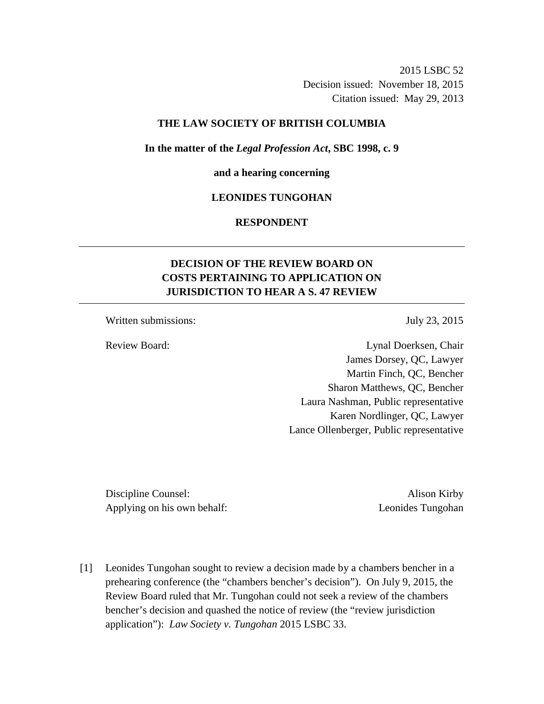2015 LSBC 52 Decision issued: November 18, 2015 Citation issued: May 29, 2013

# **THE LAW SOCIETY OF BRITISH COLUMBIA**

#### **In the matter of the** *Legal Profession Act***, SBC 1998, c. 9**

#### **and a hearing concerning**

# **LEONIDES TUNGOHAN**

# **RESPONDENT**

# **DECISION OF THE REVIEW BOARD ON COSTS PERTAINING TO APPLICATION ON JURISDICTION TO HEAR A S. 47 REVIEW**

Written submissions: July 23, 2015

Review Board: Lynal Doerksen, Chair James Dorsey, QC, Lawyer Martin Finch, QC, Bencher Sharon Matthews, QC, Bencher Laura Nashman, Public representative Karen Nordlinger, QC, Lawyer Lance Ollenberger, Public representative

Discipline Counsel: Alison Kirby Applying on his own behalf: Leonides Tungohan

[1] Leonides Tungohan sought to review a decision made by a chambers bencher in a prehearing conference (the "chambers bencher's decision"). On July 9, 2015, the Review Board ruled that Mr. Tungohan could not seek a review of the chambers bencher's decision and quashed the notice of review (the "review jurisdiction application"): *Law Society v. Tungohan* 2015 LSBC 33.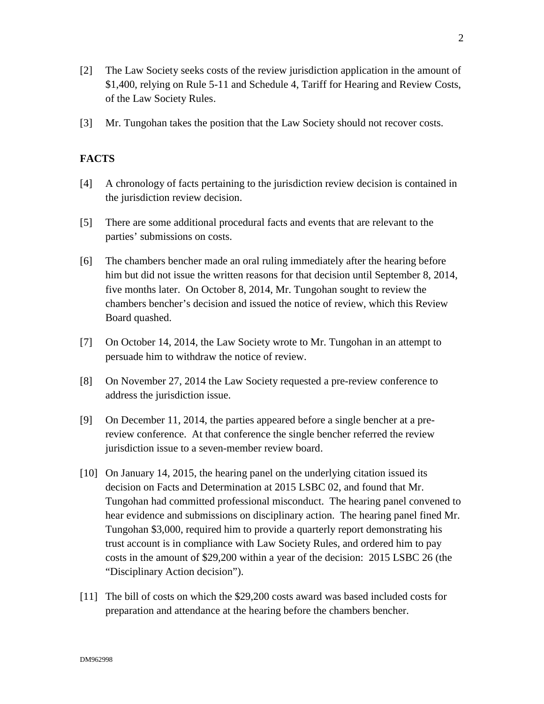- [2] The Law Society seeks costs of the review jurisdiction application in the amount of \$1,400, relying on Rule 5-11 and Schedule 4, Tariff for Hearing and Review Costs, of the Law Society Rules.
- [3] Mr. Tungohan takes the position that the Law Society should not recover costs.

# **FACTS**

- [4] A chronology of facts pertaining to the jurisdiction review decision is contained in the jurisdiction review decision.
- [5] There are some additional procedural facts and events that are relevant to the parties' submissions on costs.
- [6] The chambers bencher made an oral ruling immediately after the hearing before him but did not issue the written reasons for that decision until September 8, 2014, five months later. On October 8, 2014, Mr. Tungohan sought to review the chambers bencher's decision and issued the notice of review, which this Review Board quashed.
- [7] On October 14, 2014, the Law Society wrote to Mr. Tungohan in an attempt to persuade him to withdraw the notice of review.
- [8] On November 27, 2014 the Law Society requested a pre-review conference to address the jurisdiction issue.
- [9] On December 11, 2014, the parties appeared before a single bencher at a prereview conference. At that conference the single bencher referred the review jurisdiction issue to a seven-member review board.
- [10] On January 14, 2015, the hearing panel on the underlying citation issued its decision on Facts and Determination at 2015 LSBC 02, and found that Mr. Tungohan had committed professional misconduct. The hearing panel convened to hear evidence and submissions on disciplinary action. The hearing panel fined Mr. Tungohan \$3,000, required him to provide a quarterly report demonstrating his trust account is in compliance with Law Society Rules, and ordered him to pay costs in the amount of \$29,200 within a year of the decision: 2015 LSBC 26 (the "Disciplinary Action decision").
- [11] The bill of costs on which the \$29,200 costs award was based included costs for preparation and attendance at the hearing before the chambers bencher.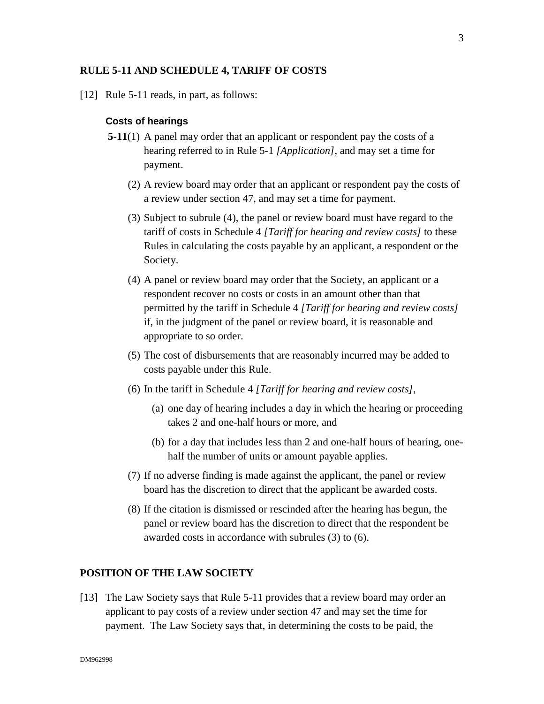#### **RULE 5-11 AND SCHEDULE 4, TARIFF OF COSTS**

[12] Rule 5-11 reads, in part, as follows:

#### **Costs of hearings**

- **5-11**(1) A panel may order that an applicant or respondent pay the costs of a hearing referred to in Rule 5-1 *[Application]*, and may set a time for payment.
	- (2) A review board may order that an applicant or respondent pay the costs of a review under section 47, and may set a time for payment.
	- (3) Subject to subrule (4), the panel or review board must have regard to the tariff of costs in Schedule 4 *[Tariff for hearing and review costs]* to these Rules in calculating the costs payable by an applicant, a respondent or the Society.
	- (4) A panel or review board may order that the Society, an applicant or a respondent recover no costs or costs in an amount other than that permitted by the tariff in Schedule 4 *[Tariff for hearing and review costs]*  if, in the judgment of the panel or review board, it is reasonable and appropriate to so order.
	- (5) The cost of disbursements that are reasonably incurred may be added to costs payable under this Rule.
	- (6) In the tariff in Schedule 4 *[Tariff for hearing and review costs]*,
		- (a) one day of hearing includes a day in which the hearing or proceeding takes 2 and one-half hours or more, and
		- (b) for a day that includes less than 2 and one-half hours of hearing, onehalf the number of units or amount payable applies.
	- (7) If no adverse finding is made against the applicant, the panel or review board has the discretion to direct that the applicant be awarded costs.
	- (8) If the citation is dismissed or rescinded after the hearing has begun, the panel or review board has the discretion to direct that the respondent be awarded costs in accordance with subrules (3) to (6).

### **POSITION OF THE LAW SOCIETY**

[13] The Law Society says that Rule 5-11 provides that a review board may order an applicant to pay costs of a review under section 47 and may set the time for payment. The Law Society says that, in determining the costs to be paid, the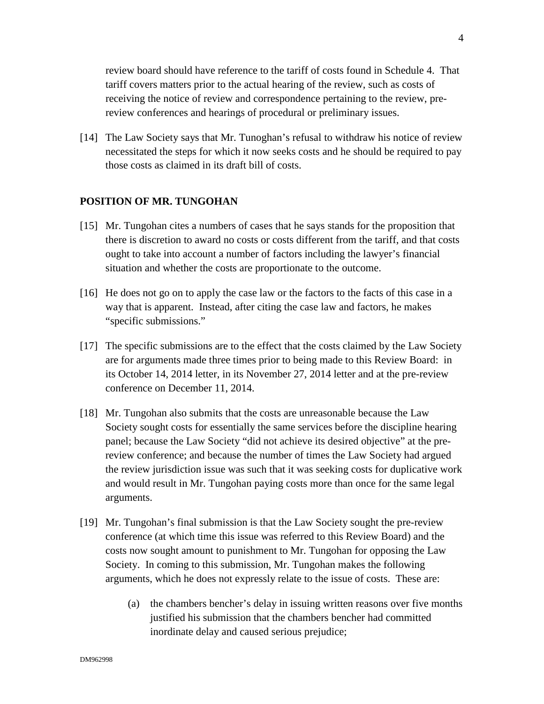review board should have reference to the tariff of costs found in Schedule 4. That tariff covers matters prior to the actual hearing of the review, such as costs of receiving the notice of review and correspondence pertaining to the review, prereview conferences and hearings of procedural or preliminary issues.

[14] The Law Society says that Mr. Tunoghan's refusal to withdraw his notice of review necessitated the steps for which it now seeks costs and he should be required to pay those costs as claimed in its draft bill of costs.

# **POSITION OF MR. TUNGOHAN**

- [15] Mr. Tungohan cites a numbers of cases that he says stands for the proposition that there is discretion to award no costs or costs different from the tariff, and that costs ought to take into account a number of factors including the lawyer's financial situation and whether the costs are proportionate to the outcome.
- [16] He does not go on to apply the case law or the factors to the facts of this case in a way that is apparent. Instead, after citing the case law and factors, he makes "specific submissions."
- [17] The specific submissions are to the effect that the costs claimed by the Law Society are for arguments made three times prior to being made to this Review Board: in its October 14, 2014 letter, in its November 27, 2014 letter and at the pre-review conference on December 11, 2014.
- [18] Mr. Tungohan also submits that the costs are unreasonable because the Law Society sought costs for essentially the same services before the discipline hearing panel; because the Law Society "did not achieve its desired objective" at the prereview conference; and because the number of times the Law Society had argued the review jurisdiction issue was such that it was seeking costs for duplicative work and would result in Mr. Tungohan paying costs more than once for the same legal arguments.
- [19] Mr. Tungohan's final submission is that the Law Society sought the pre-review conference (at which time this issue was referred to this Review Board) and the costs now sought amount to punishment to Mr. Tungohan for opposing the Law Society. In coming to this submission, Mr. Tungohan makes the following arguments, which he does not expressly relate to the issue of costs. These are:
	- (a) the chambers bencher's delay in issuing written reasons over five months justified his submission that the chambers bencher had committed inordinate delay and caused serious prejudice;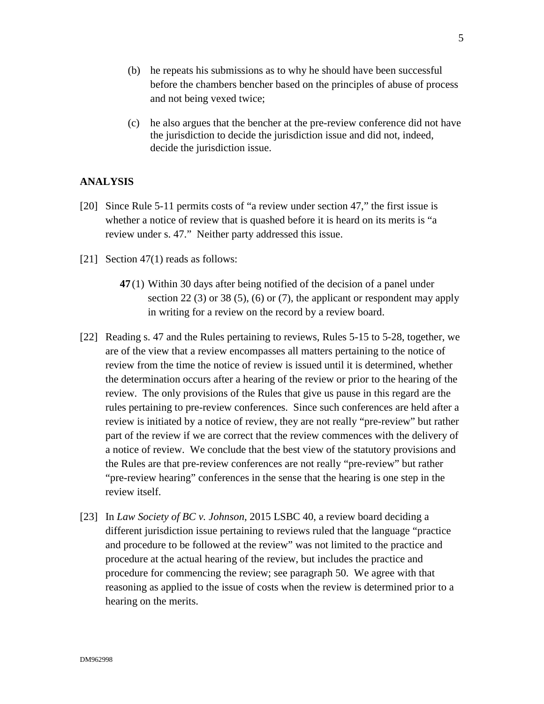- (b) he repeats his submissions as to why he should have been successful before the chambers bencher based on the principles of abuse of process and not being vexed twice;
- (c) he also argues that the bencher at the pre-review conference did not have the jurisdiction to decide the jurisdiction issue and did not, indeed, decide the jurisdiction issue.

# **ANALYSIS**

- [20] Since Rule 5-11 permits costs of "a review under section 47," the first issue is whether a notice of review that is quashed before it is heard on its merits is "a review under s. 47." Neither party addressed this issue.
- [21] Section 47(1) reads as follows:
	- **47** (1) Within 30 days after being notified of the decision of a panel under section 22 (3) or 38 (5), (6) or (7), the applicant or respondent may apply in writing for a review on the record by a review board.
- [22] Reading s. 47 and the Rules pertaining to reviews, Rules 5-15 to 5-28, together, we are of the view that a review encompasses all matters pertaining to the notice of review from the time the notice of review is issued until it is determined, whether the determination occurs after a hearing of the review or prior to the hearing of the review. The only provisions of the Rules that give us pause in this regard are the rules pertaining to pre-review conferences. Since such conferences are held after a review is initiated by a notice of review, they are not really "pre-review" but rather part of the review if we are correct that the review commences with the delivery of a notice of review. We conclude that the best view of the statutory provisions and the Rules are that pre-review conferences are not really "pre-review" but rather "pre-review hearing" conferences in the sense that the hearing is one step in the review itself.
- [23] In *Law Society of BC v. Johnson*, 2015 LSBC 40, a review board deciding a different jurisdiction issue pertaining to reviews ruled that the language "practice and procedure to be followed at the review" was not limited to the practice and procedure at the actual hearing of the review, but includes the practice and procedure for commencing the review; see paragraph 50. We agree with that reasoning as applied to the issue of costs when the review is determined prior to a hearing on the merits.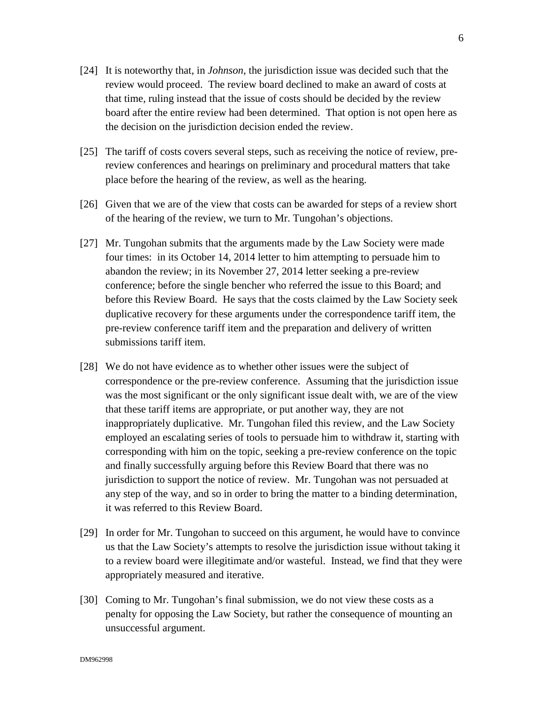- [24] It is noteworthy that, in *Johnson*, the jurisdiction issue was decided such that the review would proceed. The review board declined to make an award of costs at that time, ruling instead that the issue of costs should be decided by the review board after the entire review had been determined. That option is not open here as the decision on the jurisdiction decision ended the review.
- [25] The tariff of costs covers several steps, such as receiving the notice of review, prereview conferences and hearings on preliminary and procedural matters that take place before the hearing of the review, as well as the hearing.
- [26] Given that we are of the view that costs can be awarded for steps of a review short of the hearing of the review, we turn to Mr. Tungohan's objections.
- [27] Mr. Tungohan submits that the arguments made by the Law Society were made four times: in its October 14, 2014 letter to him attempting to persuade him to abandon the review; in its November 27, 2014 letter seeking a pre-review conference; before the single bencher who referred the issue to this Board; and before this Review Board. He says that the costs claimed by the Law Society seek duplicative recovery for these arguments under the correspondence tariff item, the pre-review conference tariff item and the preparation and delivery of written submissions tariff item.
- [28] We do not have evidence as to whether other issues were the subject of correspondence or the pre-review conference. Assuming that the jurisdiction issue was the most significant or the only significant issue dealt with, we are of the view that these tariff items are appropriate, or put another way, they are not inappropriately duplicative. Mr. Tungohan filed this review, and the Law Society employed an escalating series of tools to persuade him to withdraw it, starting with corresponding with him on the topic, seeking a pre-review conference on the topic and finally successfully arguing before this Review Board that there was no jurisdiction to support the notice of review. Mr. Tungohan was not persuaded at any step of the way, and so in order to bring the matter to a binding determination, it was referred to this Review Board.
- [29] In order for Mr. Tungohan to succeed on this argument, he would have to convince us that the Law Society's attempts to resolve the jurisdiction issue without taking it to a review board were illegitimate and/or wasteful. Instead, we find that they were appropriately measured and iterative.
- [30] Coming to Mr. Tungohan's final submission, we do not view these costs as a penalty for opposing the Law Society, but rather the consequence of mounting an unsuccessful argument.